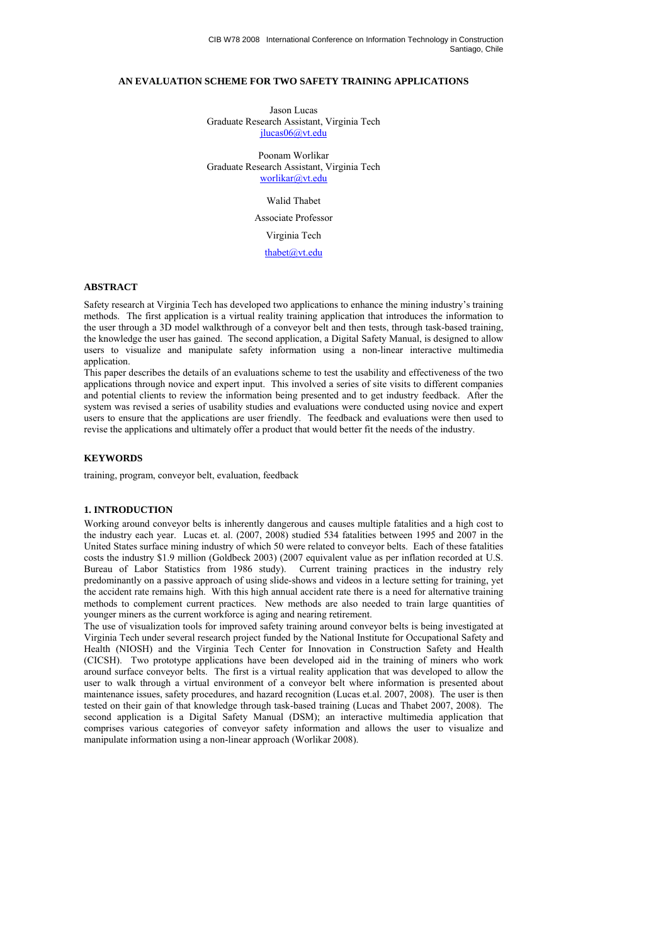# **AN EVALUATION SCHEME FOR TWO SAFETY TRAINING APPLICATIONS**

Jason Lucas Graduate Research Assistant, Virginia Tech jlucas06@vt.edu

Poonam Worlikar Graduate Research Assistant, Virginia Tech worlikar@vt.edu

### Walid Thabet

Associate Professor

Virginia Tech

thabet@vt.edu

# **ABSTRACT**

Safety research at Virginia Tech has developed two applications to enhance the mining industry's training methods. The first application is a virtual reality training application that introduces the information to the user through a 3D model walkthrough of a conveyor belt and then tests, through task-based training, the knowledge the user has gained. The second application, a Digital Safety Manual, is designed to allow users to visualize and manipulate safety information using a non-linear interactive multimedia application.

This paper describes the details of an evaluations scheme to test the usability and effectiveness of the two applications through novice and expert input. This involved a series of site visits to different companies and potential clients to review the information being presented and to get industry feedback. After the system was revised a series of usability studies and evaluations were conducted using novice and expert users to ensure that the applications are user friendly. The feedback and evaluations were then used to revise the applications and ultimately offer a product that would better fit the needs of the industry.

#### **KEYWORDS**

training, program, conveyor belt, evaluation, feedback

#### **1. INTRODUCTION**

Working around conveyor belts is inherently dangerous and causes multiple fatalities and a high cost to the industry each year. Lucas et. al. (2007, 2008) studied 534 fatalities between 1995 and 2007 in the United States surface mining industry of which 50 were related to conveyor belts. Each of these fatalities costs the industry \$1.9 million (Goldbeck 2003) (2007 equivalent value as per inflation recorded at U.S.<br>Bureau of Labor Statistics from 1986 study). Current training practices in the industry rely Current training practices in the industry rely predominantly on a passive approach of using slide-shows and videos in a lecture setting for training, yet the accident rate remains high. With this high annual accident rate there is a need for alternative training methods to complement current practices. New methods are also needed to train large quantities of younger miners as the current workforce is aging and nearing retirement.

The use of visualization tools for improved safety training around conveyor belts is being investigated at Virginia Tech under several research project funded by the National Institute for Occupational Safety and Health (NIOSH) and the Virginia Tech Center for Innovation in Construction Safety and Health (CICSH). Two prototype applications have been developed aid in the training of miners who work around surface conveyor belts. The first is a virtual reality application that was developed to allow the user to walk through a virtual environment of a conveyor belt where information is presented about maintenance issues, safety procedures, and hazard recognition (Lucas et.al. 2007, 2008). The user is then tested on their gain of that knowledge through task-based training (Lucas and Thabet 2007, 2008). The second application is a Digital Safety Manual (DSM); an interactive multimedia application that comprises various categories of conveyor safety information and allows the user to visualize and manipulate information using a non-linear approach (Worlikar 2008).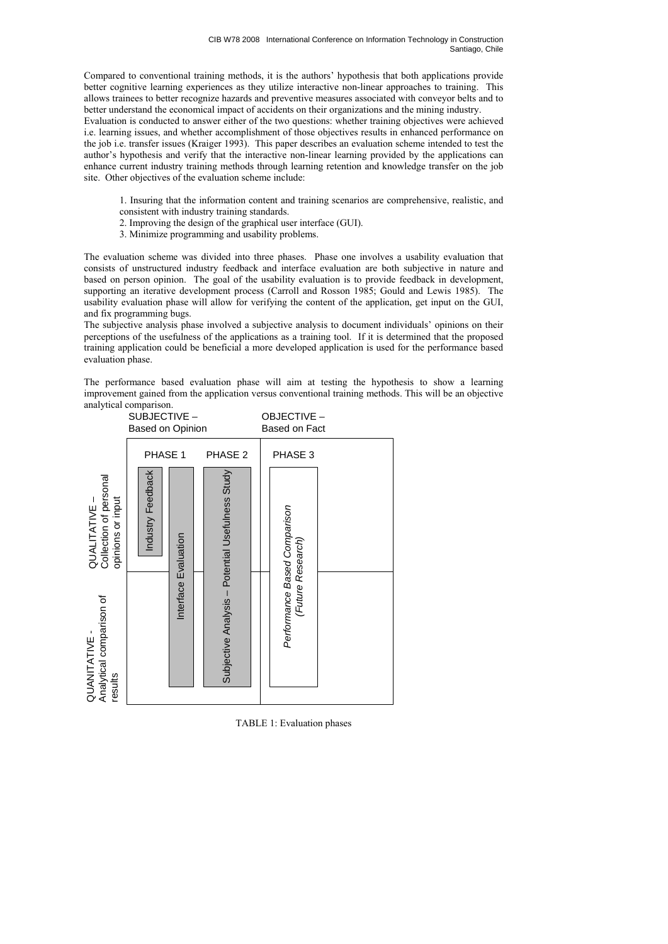Compared to conventional training methods, it is the authors' hypothesis that both applications provide better cognitive learning experiences as they utilize interactive non-linear approaches to training. This allows trainees to better recognize hazards and preventive measures associated with conveyor belts and to better understand the economical impact of accidents on their organizations and the mining industry.

Evaluation is conducted to answer either of the two questions: whether training objectives were achieved i.e. learning issues, and whether accomplishment of those objectives results in enhanced performance on the job i.e. transfer issues (Kraiger 1993). This paper describes an evaluation scheme intended to test the author's hypothesis and verify that the interactive non-linear learning provided by the applications can enhance current industry training methods through learning retention and knowledge transfer on the job site. Other objectives of the evaluation scheme include:

- 1. Insuring that the information content and training scenarios are comprehensive, realistic, and consistent with industry training standards.
- 2. Improving the design of the graphical user interface (GUI).
- 3. Minimize programming and usability problems.

The evaluation scheme was divided into three phases. Phase one involves a usability evaluation that consists of unstructured industry feedback and interface evaluation are both subjective in nature and based on person opinion. The goal of the usability evaluation is to provide feedback in development, supporting an iterative development process (Carroll and Rosson 1985; Gould and Lewis 1985). The usability evaluation phase will allow for verifying the content of the application, get input on the GUI, and fix programming bugs.

The subjective analysis phase involved a subjective analysis to document individuals' opinions on their perceptions of the usefulness of the applications as a training tool. If it is determined that the proposed training application could be beneficial a more developed application is used for the performance based evaluation phase.

The performance based evaluation phase will aim at testing the hypothesis to show a learning improvement gained from the application versus conventional training methods. This will be an objective analytical comparison.



TABLE 1: Evaluation phases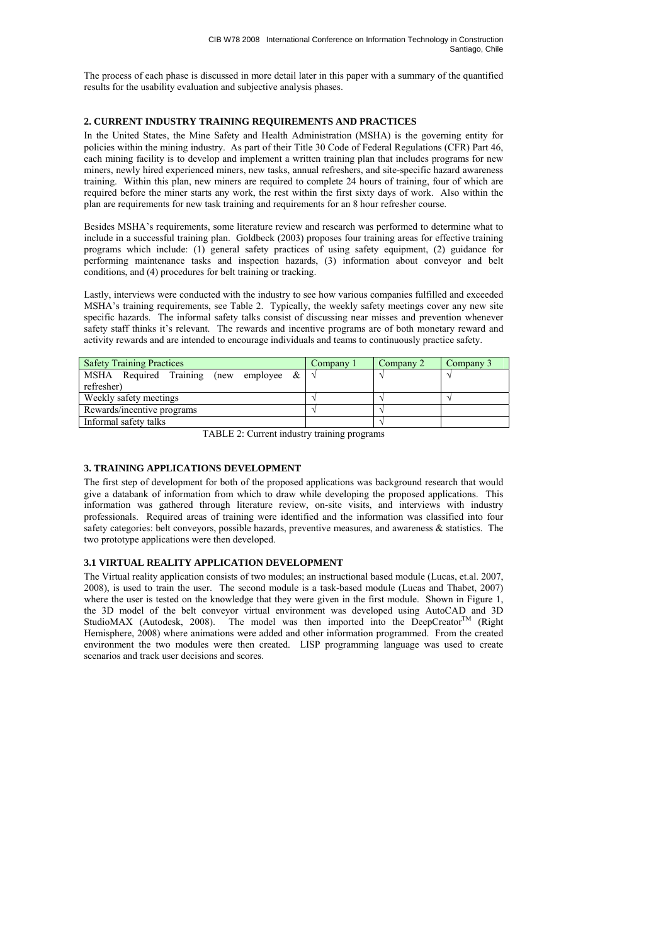The process of each phase is discussed in more detail later in this paper with a summary of the quantified results for the usability evaluation and subjective analysis phases.

# **2. CURRENT INDUSTRY TRAINING REQUIREMENTS AND PRACTICES**

In the United States, the Mine Safety and Health Administration (MSHA) is the governing entity for policies within the mining industry. As part of their Title 30 Code of Federal Regulations (CFR) Part 46, each mining facility is to develop and implement a written training plan that includes programs for new miners, newly hired experienced miners, new tasks, annual refreshers, and site-specific hazard awareness training. Within this plan, new miners are required to complete 24 hours of training, four of which are required before the miner starts any work, the rest within the first sixty days of work. Also within the plan are requirements for new task training and requirements for an 8 hour refresher course.

Besides MSHA's requirements, some literature review and research was performed to determine what to include in a successful training plan. Goldbeck (2003) proposes four training areas for effective training programs which include: (1) general safety practices of using safety equipment, (2) guidance for performing maintenance tasks and inspection hazards, (3) information about conveyor and belt conditions, and (4) procedures for belt training or tracking.

Lastly, interviews were conducted with the industry to see how various companies fulfilled and exceeded MSHA's training requirements, see Table 2. Typically, the weekly safety meetings cover any new site specific hazards. The informal safety talks consist of discussing near misses and prevention whenever safety staff thinks it's relevant. The rewards and incentive programs are of both monetary reward and activity rewards and are intended to encourage individuals and teams to continuously practice safety.

| <b>Safety Training Practices</b>          | Company 1 | Company 2 | Company 3 |
|-------------------------------------------|-----------|-----------|-----------|
| MSHA Required Training (new employee $\&$ |           |           |           |
| refresher)                                |           |           |           |
| Weekly safety meetings                    |           |           |           |
| Rewards/incentive programs                |           |           |           |
| Informal safety talks                     |           |           |           |

TABLE 2: Current industry training programs

# **3. TRAINING APPLICATIONS DEVELOPMENT**

The first step of development for both of the proposed applications was background research that would give a databank of information from which to draw while developing the proposed applications. This information was gathered through literature review, on-site visits, and interviews with industry professionals. Required areas of training were identified and the information was classified into four safety categories: belt conveyors, possible hazards, preventive measures, and awareness & statistics. The two prototype applications were then developed.

#### **3.1 VIRTUAL REALITY APPLICATION DEVELOPMENT**

The Virtual reality application consists of two modules; an instructional based module (Lucas, et.al. 2007, 2008), is used to train the user. The second module is a task-based module (Lucas and Thabet, 2007) where the user is tested on the knowledge that they were given in the first module. Shown in Figure 1, the 3D model of the belt conveyor virtual environment was developed using AutoCAD and 3D StudioMAX (Autodesk, 2008). The model was then imported into the DeepCreator<sup>TM</sup> (Right Hemisphere, 2008) where animations were added and other information programmed. From the created environment the two modules were then created. LISP programming language was used to create scenarios and track user decisions and scores.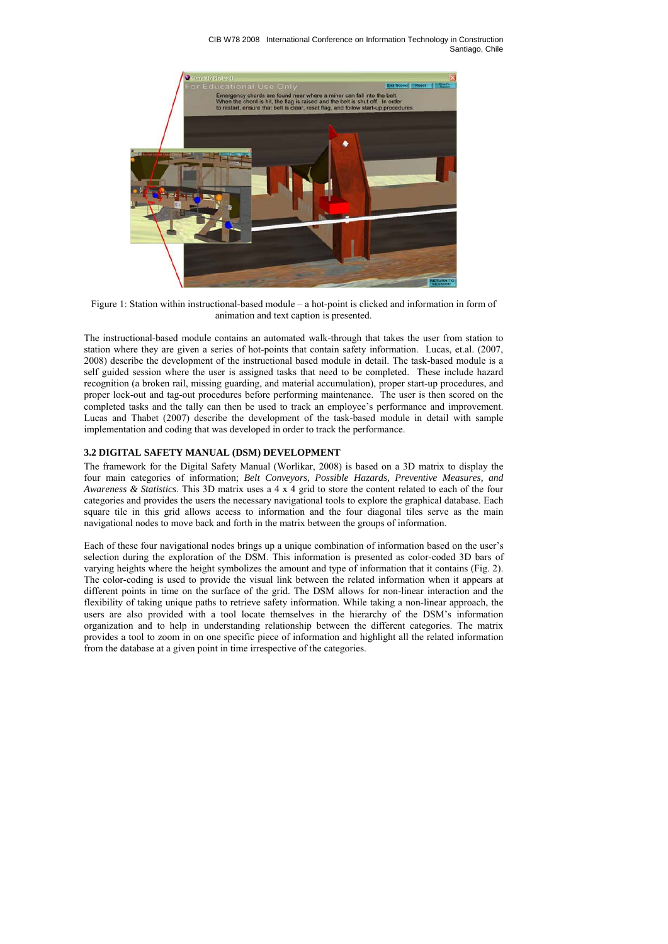CIB W78 2008 International Conference on Information Technology in Construction Santiago, Chile



Figure 1: Station within instructional-based module – a hot-point is clicked and information in form of animation and text caption is presented.

The instructional-based module contains an automated walk-through that takes the user from station to station where they are given a series of hot-points that contain safety information. Lucas, et.al. (2007, 2008) describe the development of the instructional based module in detail. The task-based module is a self guided session where the user is assigned tasks that need to be completed. These include hazard recognition (a broken rail, missing guarding, and material accumulation), proper start-up procedures, and proper lock-out and tag-out procedures before performing maintenance. The user is then scored on the completed tasks and the tally can then be used to track an employee's performance and improvement. Lucas and Thabet (2007) describe the development of the task-based module in detail with sample implementation and coding that was developed in order to track the performance.

# **3.2 DIGITAL SAFETY MANUAL (DSM) DEVELOPMENT**

The framework for the Digital Safety Manual (Worlikar, 2008) is based on a 3D matrix to display the four main categories of information; *Belt Conveyors, Possible Hazards, Preventive Measures, and Awareness & Statistics*. This 3D matrix uses a 4 x 4 grid to store the content related to each of the four categories and provides the users the necessary navigational tools to explore the graphical database. Each square tile in this grid allows access to information and the four diagonal tiles serve as the main navigational nodes to move back and forth in the matrix between the groups of information.

Each of these four navigational nodes brings up a unique combination of information based on the user's selection during the exploration of the DSM. This information is presented as color-coded 3D bars of varying heights where the height symbolizes the amount and type of information that it contains (Fig. 2). The color-coding is used to provide the visual link between the related information when it appears at different points in time on the surface of the grid. The DSM allows for non-linear interaction and the flexibility of taking unique paths to retrieve safety information. While taking a non-linear approach, the users are also provided with a tool locate themselves in the hierarchy of the DSM's information organization and to help in understanding relationship between the different categories. The matrix provides a tool to zoom in on one specific piece of information and highlight all the related information from the database at a given point in time irrespective of the categories.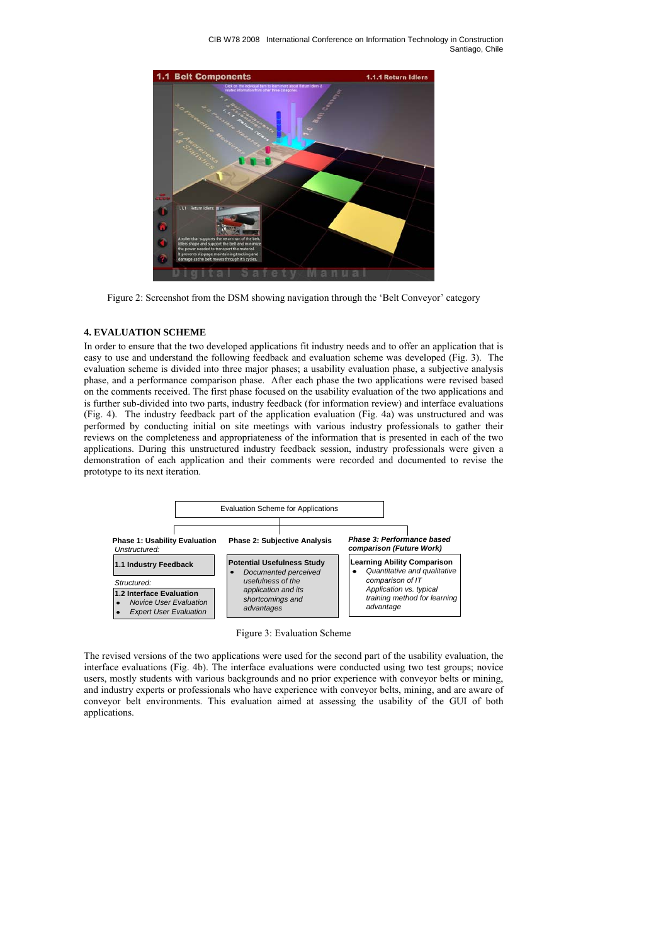

Figure 2: Screenshot from the DSM showing navigation through the 'Belt Conveyor' category

### **4. EVALUATION SCHEME**

In order to ensure that the two developed applications fit industry needs and to offer an application that is easy to use and understand the following feedback and evaluation scheme was developed (Fig. 3). The evaluation scheme is divided into three major phases; a usability evaluation phase, a subjective analysis phase, and a performance comparison phase. After each phase the two applications were revised based on the comments received. The first phase focused on the usability evaluation of the two applications and is further sub-divided into two parts, industry feedback (for information review) and interface evaluations (Fig. 4). The industry feedback part of the application evaluation (Fig. 4a) was unstructured and was performed by conducting initial on site meetings with various industry professionals to gather their reviews on the completeness and appropriateness of the information that is presented in each of the two applications. During this unstructured industry feedback session, industry professionals were given a demonstration of each application and their comments were recorded and documented to revise the prototype to its next iteration.



Figure 3: Evaluation Scheme

The revised versions of the two applications were used for the second part of the usability evaluation, the interface evaluations (Fig. 4b). The interface evaluations were conducted using two test groups; novice users, mostly students with various backgrounds and no prior experience with conveyor belts or mining, and industry experts or professionals who have experience with conveyor belts, mining, and are aware of conveyor belt environments. This evaluation aimed at assessing the usability of the GUI of both applications.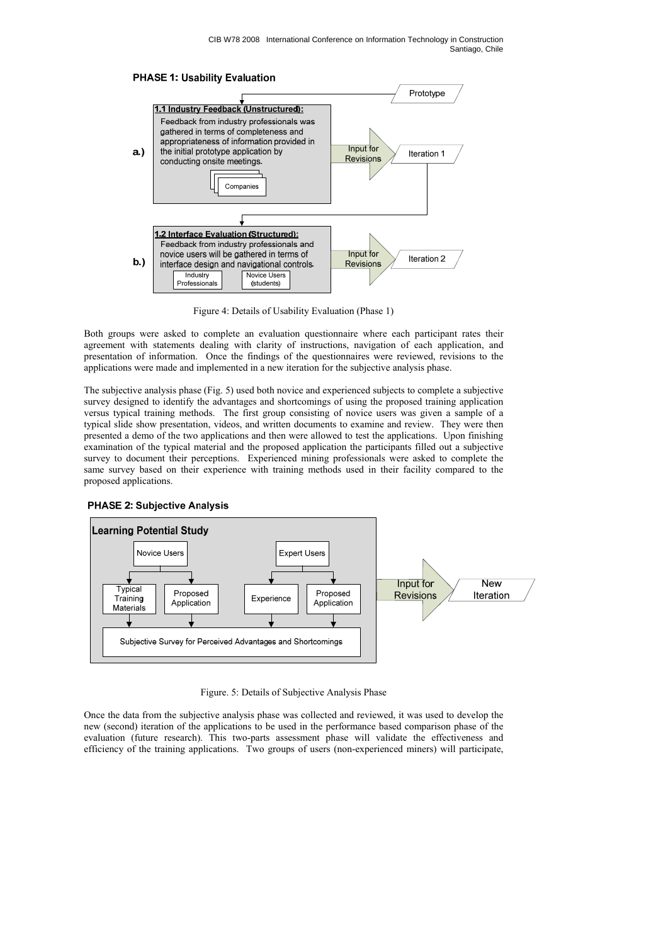#### **PHASE 1: Usability Evaluation** Prototype 1.1 Industry Feedback (Unstructured): Feedback from industry professionals was gathered in terms of completeness and appropriateness of information provided in Input for  $a.$ ) the initial prototype application by Iteration 1 Revisions conducting onsite meetings. Companies 1.2 Interface Evaluation (Structured): Feedback from industry professionals and novice users will be gathered in terms of Input for Iteration 2  $b.$ interface design and navigational controls. **Revisions** Industry Novice Users Professionals (students)

Figure 4: Details of Usability Evaluation (Phase 1)

Both groups were asked to complete an evaluation questionnaire where each participant rates their agreement with statements dealing with clarity of instructions, navigation of each application, and presentation of information. Once the findings of the questionnaires were reviewed, revisions to the applications were made and implemented in a new iteration for the subjective analysis phase.

The subjective analysis phase (Fig. 5) used both novice and experienced subjects to complete a subjective survey designed to identify the advantages and shortcomings of using the proposed training application versus typical training methods. The first group consisting of novice users was given a sample of a typical slide show presentation, videos, and written documents to examine and review. They were then presented a demo of the two applications and then were allowed to test the applications. Upon finishing examination of the typical material and the proposed application the participants filled out a subjective survey to document their perceptions. Experienced mining professionals were asked to complete the same survey based on their experience with training methods used in their facility compared to the proposed applications.



# **PHASE 2: Subjective Analysis**

Figure. 5: Details of Subjective Analysis Phase

Once the data from the subjective analysis phase was collected and reviewed, it was used to develop the new (second) iteration of the applications to be used in the performance based comparison phase of the evaluation (future research). This two-parts assessment phase will validate the effectiveness and efficiency of the training applications. Two groups of users (non-experienced miners) will participate,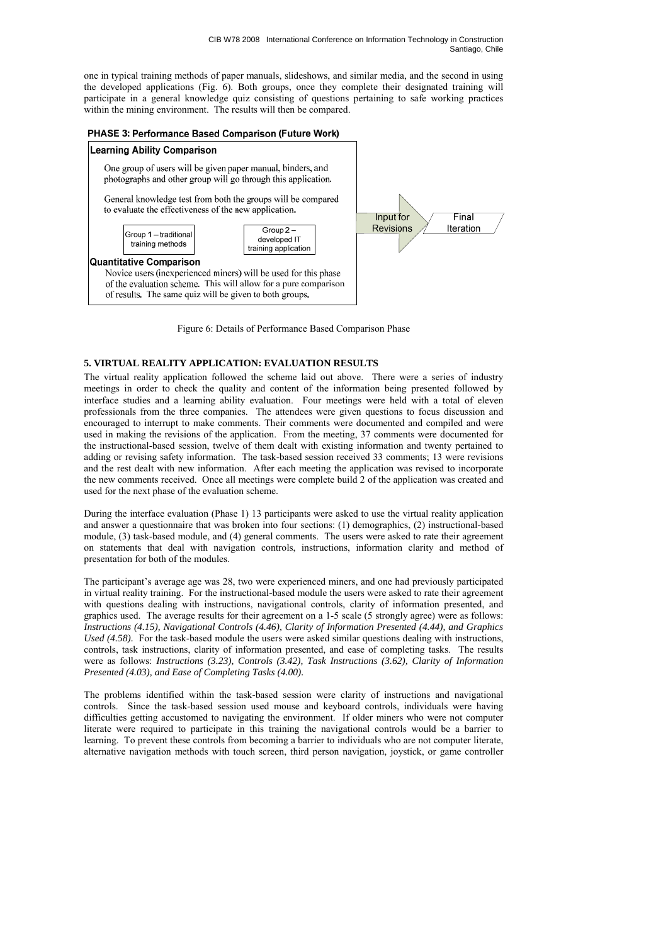one in typical training methods of paper manuals, slideshows, and similar media, and the second in using the developed applications (Fig. 6). Both groups, once they complete their designated training will participate in a general knowledge quiz consisting of questions pertaining to safe working practices within the mining environment. The results will then be compared.

#### PHASE 3: Performance Based Comparison (Future Work)



Figure 6: Details of Performance Based Comparison Phase

# **5. VIRTUAL REALITY APPLICATION: EVALUATION RESULTS**

The virtual reality application followed the scheme laid out above. There were a series of industry meetings in order to check the quality and content of the information being presented followed by interface studies and a learning ability evaluation. Four meetings were held with a total of eleven professionals from the three companies. The attendees were given questions to focus discussion and encouraged to interrupt to make comments. Their comments were documented and compiled and were used in making the revisions of the application. From the meeting, 37 comments were documented for the instructional-based session, twelve of them dealt with existing information and twenty pertained to adding or revising safety information. The task-based session received 33 comments; 13 were revisions and the rest dealt with new information. After each meeting the application was revised to incorporate the new comments received. Once all meetings were complete build 2 of the application was created and used for the next phase of the evaluation scheme.

During the interface evaluation (Phase 1) 13 participants were asked to use the virtual reality application and answer a questionnaire that was broken into four sections: (1) demographics, (2) instructional-based module, (3) task-based module, and (4) general comments. The users were asked to rate their agreement on statements that deal with navigation controls, instructions, information clarity and method of presentation for both of the modules.

The participant's average age was 28, two were experienced miners, and one had previously participated in virtual reality training. For the instructional-based module the users were asked to rate their agreement with questions dealing with instructions, navigational controls, clarity of information presented, and graphics used. The average results for their agreement on a 1-5 scale (5 strongly agree) were as follows: *Instructions (4.15), Navigational Controls (4.46), Clarity of Information Presented (4.44), and Graphics Used (4.58).* For the task-based module the users were asked similar questions dealing with instructions, controls, task instructions, clarity of information presented, and ease of completing tasks. The results were as follows: *Instructions (3.23), Controls (3.42), Task Instructions (3.62), Clarity of Information Presented (4.03), and Ease of Completing Tasks (4.00).* 

The problems identified within the task-based session were clarity of instructions and navigational controls. Since the task-based session used mouse and keyboard controls, individuals were having difficulties getting accustomed to navigating the environment. If older miners who were not computer literate were required to participate in this training the navigational controls would be a barrier to learning. To prevent these controls from becoming a barrier to individuals who are not computer literate, alternative navigation methods with touch screen, third person navigation, joystick, or game controller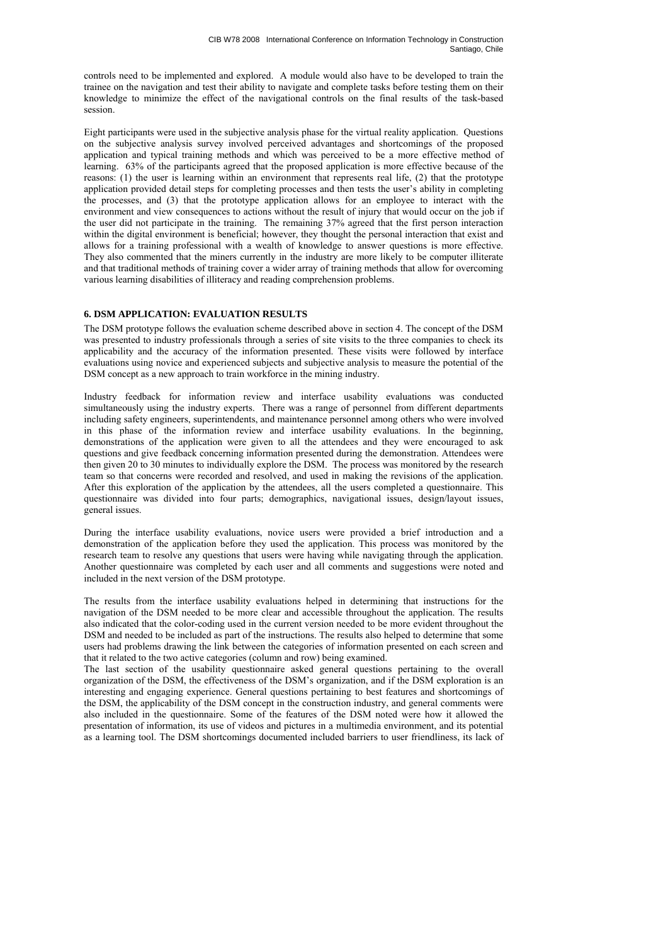controls need to be implemented and explored. A module would also have to be developed to train the trainee on the navigation and test their ability to navigate and complete tasks before testing them on their knowledge to minimize the effect of the navigational controls on the final results of the task-based session.

Eight participants were used in the subjective analysis phase for the virtual reality application. Questions on the subjective analysis survey involved perceived advantages and shortcomings of the proposed application and typical training methods and which was perceived to be a more effective method of learning. 63% of the participants agreed that the proposed application is more effective because of the reasons: (1) the user is learning within an environment that represents real life, (2) that the prototype application provided detail steps for completing processes and then tests the user's ability in completing the processes, and (3) that the prototype application allows for an employee to interact with the environment and view consequences to actions without the result of injury that would occur on the job if the user did not participate in the training. The remaining 37% agreed that the first person interaction within the digital environment is beneficial; however, they thought the personal interaction that exist and allows for a training professional with a wealth of knowledge to answer questions is more effective. They also commented that the miners currently in the industry are more likely to be computer illiterate and that traditional methods of training cover a wider array of training methods that allow for overcoming various learning disabilities of illiteracy and reading comprehension problems.

### **6. DSM APPLICATION: EVALUATION RESULTS**

The DSM prototype follows the evaluation scheme described above in section 4. The concept of the DSM was presented to industry professionals through a series of site visits to the three companies to check its applicability and the accuracy of the information presented. These visits were followed by interface evaluations using novice and experienced subjects and subjective analysis to measure the potential of the DSM concept as a new approach to train workforce in the mining industry.

Industry feedback for information review and interface usability evaluations was conducted simultaneously using the industry experts. There was a range of personnel from different departments including safety engineers, superintendents, and maintenance personnel among others who were involved in this phase of the information review and interface usability evaluations. In the beginning, demonstrations of the application were given to all the attendees and they were encouraged to ask questions and give feedback concerning information presented during the demonstration. Attendees were then given 20 to 30 minutes to individually explore the DSM. The process was monitored by the research team so that concerns were recorded and resolved, and used in making the revisions of the application. After this exploration of the application by the attendees, all the users completed a questionnaire. This questionnaire was divided into four parts; demographics, navigational issues, design/layout issues, general issues.

During the interface usability evaluations, novice users were provided a brief introduction and a demonstration of the application before they used the application. This process was monitored by the research team to resolve any questions that users were having while navigating through the application. Another questionnaire was completed by each user and all comments and suggestions were noted and included in the next version of the DSM prototype.

The results from the interface usability evaluations helped in determining that instructions for the navigation of the DSM needed to be more clear and accessible throughout the application. The results also indicated that the color-coding used in the current version needed to be more evident throughout the DSM and needed to be included as part of the instructions. The results also helped to determine that some users had problems drawing the link between the categories of information presented on each screen and that it related to the two active categories (column and row) being examined.

The last section of the usability questionnaire asked general questions pertaining to the overall organization of the DSM, the effectiveness of the DSM's organization, and if the DSM exploration is an interesting and engaging experience. General questions pertaining to best features and shortcomings of the DSM, the applicability of the DSM concept in the construction industry, and general comments were also included in the questionnaire. Some of the features of the DSM noted were how it allowed the presentation of information, its use of videos and pictures in a multimedia environment, and its potential as a learning tool. The DSM shortcomings documented included barriers to user friendliness, its lack of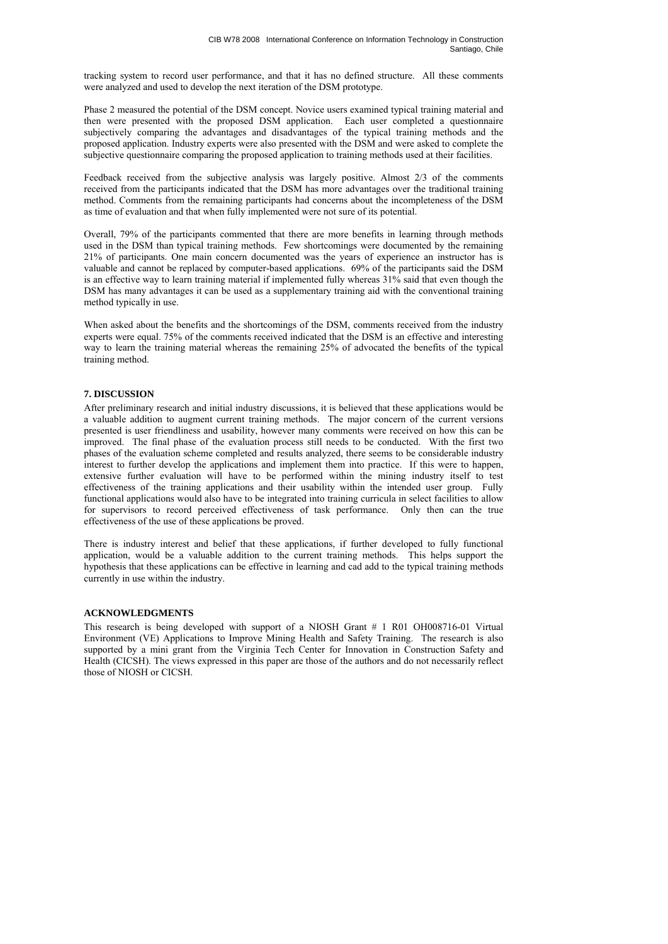tracking system to record user performance, and that it has no defined structure. All these comments were analyzed and used to develop the next iteration of the DSM prototype.

Phase 2 measured the potential of the DSM concept. Novice users examined typical training material and then were presented with the proposed DSM application. Each user completed a questionnaire subjectively comparing the advantages and disadvantages of the typical training methods and the proposed application. Industry experts were also presented with the DSM and were asked to complete the subjective questionnaire comparing the proposed application to training methods used at their facilities.

Feedback received from the subjective analysis was largely positive. Almost 2/3 of the comments received from the participants indicated that the DSM has more advantages over the traditional training method. Comments from the remaining participants had concerns about the incompleteness of the DSM as time of evaluation and that when fully implemented were not sure of its potential.

Overall, 79% of the participants commented that there are more benefits in learning through methods used in the DSM than typical training methods. Few shortcomings were documented by the remaining 21% of participants. One main concern documented was the years of experience an instructor has is valuable and cannot be replaced by computer-based applications. 69% of the participants said the DSM is an effective way to learn training material if implemented fully whereas 31% said that even though the DSM has many advantages it can be used as a supplementary training aid with the conventional training method typically in use.

When asked about the benefits and the shortcomings of the DSM, comments received from the industry experts were equal. 75% of the comments received indicated that the DSM is an effective and interesting way to learn the training material whereas the remaining 25% of advocated the benefits of the typical training method.

# **7. DISCUSSION**

After preliminary research and initial industry discussions, it is believed that these applications would be a valuable addition to augment current training methods. The major concern of the current versions presented is user friendliness and usability, however many comments were received on how this can be improved. The final phase of the evaluation process still needs to be conducted. With the first two phases of the evaluation scheme completed and results analyzed, there seems to be considerable industry interest to further develop the applications and implement them into practice. If this were to happen, extensive further evaluation will have to be performed within the mining industry itself to test effectiveness of the training applications and their usability within the intended user group. Fully functional applications would also have to be integrated into training curricula in select facilities to allow for supervisors to record perceived effectiveness of task performance. Only then can the true effectiveness of the use of these applications be proved.

There is industry interest and belief that these applications, if further developed to fully functional application, would be a valuable addition to the current training methods. This helps support the hypothesis that these applications can be effective in learning and cad add to the typical training methods currently in use within the industry.

# **ACKNOWLEDGMENTS**

This research is being developed with support of a NIOSH Grant # 1 R01 OH008716-01 Virtual Environment (VE) Applications to Improve Mining Health and Safety Training. The research is also supported by a mini grant from the Virginia Tech Center for Innovation in Construction Safety and Health (CICSH). The views expressed in this paper are those of the authors and do not necessarily reflect those of NIOSH or CICSH.